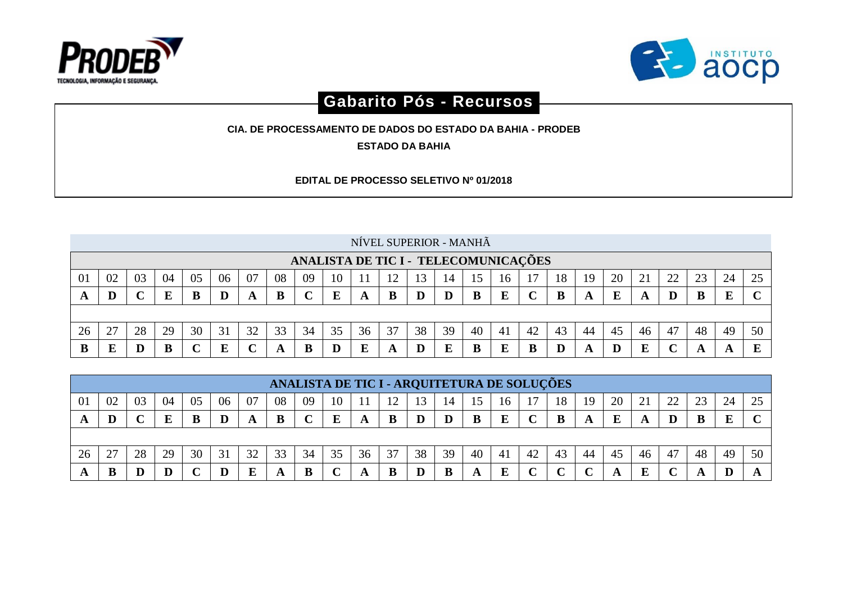



## **Gabarito Pós - Recursos**

**CIA. DE PROCESSAMENTO DE DADOS DO ESTADO DA BAHIA - PRODEB**

**ESTADO DA BAHIA**

**EDITAL DE PROCESSO SELETIVO Nº 01/2018**

|    |    |    |    |    |    |    |    |    |    |    |    | NÍVEL SUPERIOR - MANHÃ |    |    |                                      |    |    |    |    |    |    |    |    |    |
|----|----|----|----|----|----|----|----|----|----|----|----|------------------------|----|----|--------------------------------------|----|----|----|----|----|----|----|----|----|
|    |    |    |    |    |    |    |    |    |    |    |    |                        |    |    | ANALISTA DE TIC I - TELECOMUNICAÇÕES |    |    |    |    |    |    |    |    |    |
| 01 | 02 | 03 | 04 | 05 | 06 | 07 | 08 | 09 | 10 |    | ി  |                        | 14 |    | 16                                   |    | 18 | 19 | 20 | 21 | 22 |    | 24 |    |
|    | D  |    |    | В  |    |    |    |    | E  |    |    |                        | D  |    | E                                    |    | в  |    | Е  |    | D  |    | E  |    |
|    |    |    |    |    |    |    |    |    |    |    |    |                        |    |    |                                      |    |    |    |    |    |    |    |    |    |
| 26 | 27 | 28 | 29 | 30 | 31 | 32 | 33 | 34 | 35 | 36 | 37 | 38                     | 39 | 40 | 41                                   | 42 | 43 | 44 | 45 | 46 | 47 | 48 | 49 | 50 |
|    | Е  |    | B  |    | E  |    |    |    |    |    |    |                        | E. |    | E                                    | B  |    |    |    |    |    |    |    |    |

|    |                                                                                                                      |    |    |    |    |    |    |    |    |    |    |    |    |    | ANALISTA DE TIC I - ARQUITETURA DE SOLUÇÕES |    |        |    |    |    |        |    |    |    |
|----|----------------------------------------------------------------------------------------------------------------------|----|----|----|----|----|----|----|----|----|----|----|----|----|---------------------------------------------|----|--------|----|----|----|--------|----|----|----|
| 01 | 08<br>06<br>18<br>20<br>24<br>07<br>22<br>02<br>09<br>23<br>つく<br>05<br>21<br>03<br>04<br>19<br>10<br>1 $\cap$<br>16 |    |    |    |    |    |    |    |    |    |    |    |    |    |                                             |    |        |    |    |    |        |    |    |    |
| Ð  | D                                                                                                                    |    |    |    |    |    | B  |    | E  |    | B  |    |    |    | E                                           |    | В      |    | E  |    | D      |    | ш  |    |
|    |                                                                                                                      |    |    |    |    |    |    |    |    |    |    |    |    |    |                                             |    |        |    |    |    |        |    |    |    |
| 26 | 27                                                                                                                   | 28 | 29 | 30 | 31 | 32 | 33 | 34 | 35 | 36 | 37 | 38 | 39 | 40 | 41                                          | 42 | 43     | 44 | 45 | 46 | 47     | 48 | 49 | 50 |
|    | B                                                                                                                    |    | D  |    |    |    |    |    |    |    | B  |    |    |    | E                                           |    | $\sim$ |    |    |    | $\sim$ |    |    |    |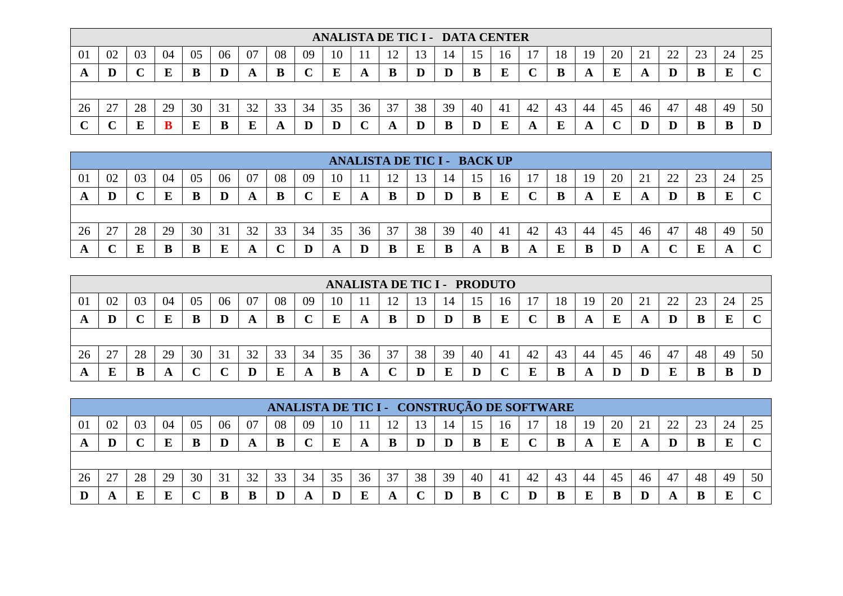|    |    |    |    |    |    |    |    |    |    |    |    | ANALISTA DE TIC I - DATA CENTER |          |    |    |    |    |    |    |    |          |    |    |              |
|----|----|----|----|----|----|----|----|----|----|----|----|---------------------------------|----------|----|----|----|----|----|----|----|----------|----|----|--------------|
| 01 | 02 | 03 | 04 | 05 | 06 | 07 | 08 | 09 | 10 |    |    |                                 |          |    | 10 |    | 18 | 19 | 20 | ◢  | つつ<br>∠∠ | 23 | 24 | 25           |
| A  | D  |    | E  | В  | D  |    | B  |    | E  | A  | B  | D                               | $\bf{D}$ | B  | E  |    | B  |    | E  |    | D        |    |    | $\mathbf{C}$ |
|    |    |    |    |    |    |    |    |    |    |    |    |                                 |          |    |    |    |    |    |    |    |          |    |    |              |
| 26 | 27 | 28 | 29 | 30 | 31 | 32 | 33 | 34 | 35 | 36 | 37 | 38                              | 39       | 40 | 41 | 42 | 43 | 44 | 45 | 46 | 47       | 48 | 49 | 50           |
|    |    |    |    |    | B  |    | A  | D  | D  |    | A  | ю                               | B        |    | E  |    | E  |    |    |    |          |    |    |              |

|    |        |    |    |    |    |    |    |    |    |    |    | <b>ANALISTA DE TIC I - BACK UP</b> |    |     |                |    |    |    |    |    |                |        |     |        |
|----|--------|----|----|----|----|----|----|----|----|----|----|------------------------------------|----|-----|----------------|----|----|----|----|----|----------------|--------|-----|--------|
| 01 | 02     | 03 | 04 | 05 | 06 | 07 | 08 | 09 | 10 |    |    |                                    |    |     | 16             |    | 18 | 19 | 20 | ◢  | $\gamma$<br>∠∠ | $\cap$ | 24  | 25     |
|    | D      |    |    |    | D  |    | B  |    | Ε  |    | B  |                                    | L  | В   | E              |    |    |    | E  | A  |                |        | E   | $\sim$ |
|    |        |    |    |    |    |    |    |    |    |    |    |                                    |    |     |                |    |    |    |    |    |                |        |     |        |
| 26 | 27     | 28 | 29 | 30 | 31 | 32 | 33 | 34 | 35 | 36 | 37 | 38                                 | 39 | -40 | 4 <sub>1</sub> | 42 | 43 | 44 | 45 | 46 | -47            | 48     | 49  | 50     |
|    | $\sim$ |    |    |    | Б  |    |    |    |    |    | B  |                                    | В  |     | B              |    | E  |    |    |    |                |        | £Э. | $\sim$ |

|    |                                                                                                                                 |    |    |    |        |    |    |    |    | <b>ANALISTA DE TIC I - PRODUTO</b> |    |    |    |    |    |    |    |    |    |    |    |    |    |    |
|----|---------------------------------------------------------------------------------------------------------------------------------|----|----|----|--------|----|----|----|----|------------------------------------|----|----|----|----|----|----|----|----|----|----|----|----|----|----|
| 01 | 04<br>08<br>20<br>07<br>22<br>23<br>つく<br>02<br>05<br>06<br>18<br>21<br>24<br>03<br>09<br>10<br>19<br>ാ<br>13<br>14<br>16<br>رے |    |    |    |        |    |    |    |    |                                    |    |    |    |    |    |    |    |    |    |    |    |    |    |    |
|    | Ш                                                                                                                               |    |    |    | D      |    | B  |    | E  |                                    | B  |    |    |    |    |    |    |    | E  |    |    |    |    |    |
|    |                                                                                                                                 |    |    |    |        |    |    |    |    |                                    |    |    |    |    |    |    |    |    |    |    |    |    |    |    |
| 26 | 27<br>∠                                                                                                                         | 28 | 29 | 30 | 31     | 32 | 33 | 34 | 35 | 36                                 | 37 | 38 | 39 | 40 | 41 | 42 | 43 | 44 | 45 | 46 | 47 | 48 | 49 | 50 |
|    | E                                                                                                                               |    |    |    | $\sim$ |    | E  |    | B  |                                    |    |    | ш  |    |    |    |    |    |    |    | E  |    |    |    |

|                |    |    |    |    |    |    |    |    |    |    |    |    |    |    |    | ANALISTA DE TIC I - CONSTRUÇÃO DE SOFTWARE |    |    |    |    |    |    |    |    |
|----------------|----|----|----|----|----|----|----|----|----|----|----|----|----|----|----|--------------------------------------------|----|----|----|----|----|----|----|----|
| 0 <sup>1</sup> | 02 | 03 | 04 | 05 | 06 | 07 | 08 | 09 | 10 |    |    |    | 14 |    | 16 |                                            | 18 | 19 | 20 |    | 22 | 23 | 24 | 25 |
|                | D  |    |    |    |    |    | В  |    | E  |    | B  |    |    |    |    |                                            |    |    | E  |    |    |    | E  |    |
|                |    |    |    |    |    |    |    |    |    |    |    |    |    |    |    |                                            |    |    |    |    |    |    |    |    |
| 26             | 27 | 28 | 29 | 30 | 31 | 32 | 33 | 34 | 35 | 36 | 37 | 38 | 39 | 40 | 41 | 42                                         | 43 | 44 | 45 | 46 | 47 | 48 | 49 | 50 |
|                |    |    | ю  |    |    |    |    |    |    | г  |    |    |    |    |    |                                            | R  |    | B  |    |    |    | E  |    |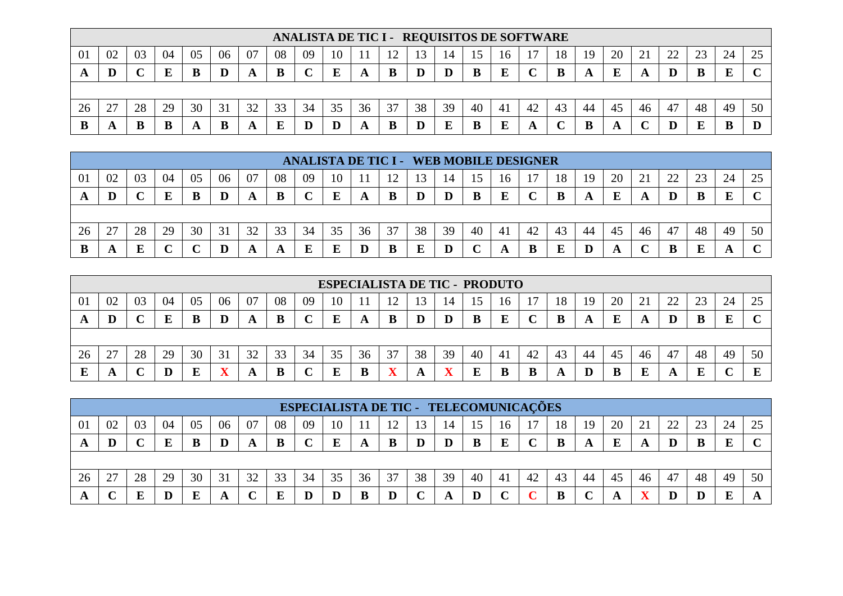|    |                                                                                                                               |    |    |    |    |    |    |    |    | ANALISTA DE TIC I - REQUISITOS DE SOFTWARE |    |    |    |    |    |    |    |    |    |    |    |    |    |    |
|----|-------------------------------------------------------------------------------------------------------------------------------|----|----|----|----|----|----|----|----|--------------------------------------------|----|----|----|----|----|----|----|----|----|----|----|----|----|----|
| 01 | 08<br>04<br>06<br>02<br>07<br>03<br>20<br>ററ<br>05<br>09<br>24<br>$\mathbf{\Omega}$<br>23<br>25<br>10<br>18<br>19<br>14<br>16 |    |    |    |    |    |    |    |    |                                            |    |    |    |    |    |    |    |    |    |    |    |    |    |    |
|    | D                                                                                                                             |    |    |    | D  |    | B  |    | Ε  |                                            | B  |    | D  |    | E  |    | B  |    | E  |    | D  |    |    |    |
|    |                                                                                                                               |    |    |    |    |    |    |    |    |                                            |    |    |    |    |    |    |    |    |    |    |    |    |    |    |
| 26 | 27<br>∠.                                                                                                                      | 28 | 29 | 30 | 31 | 32 | 33 | 34 | 35 | 36                                         | 37 | 38 | 39 | 40 | 41 | 42 | 43 | 44 | 45 | 46 | 47 | 48 | 49 | 50 |
|    |                                                                                                                               |    |    |    |    |    | E  | ш  | D  |                                            | B  |    | E  |    | ю  |    |    |    |    |    |    |    |    |    |

|                |    |    |    |    |    |    |    | <b>ANALISTA DE TIC I - WEB MOBILE DESIGNER</b> |    |    |    |    |    |     |                |    |    |    |    |    |          |        |    |        |
|----------------|----|----|----|----|----|----|----|------------------------------------------------|----|----|----|----|----|-----|----------------|----|----|----|----|----|----------|--------|----|--------|
| 0 <sup>1</sup> | 02 | 03 | 04 | 05 | 06 | 07 | 08 | 09                                             | 10 |    |    |    |    |     | 10             |    | 18 | 19 | 20 | ◢  | າາ<br>∠∠ | $\cap$ | 24 | 25     |
|                | D  |    |    |    |    |    | B  |                                                |    |    | B  | ID |    | B   | E              |    |    |    | Ľ  |    |          |        | E  | $\sim$ |
|                |    |    |    |    |    |    |    |                                                |    |    |    |    |    |     |                |    |    |    |    |    |          |        |    |        |
| 26             | 27 | 28 | 29 | 30 | 31 | 32 | 33 | 34                                             | 35 | 36 | 37 | 38 | 39 | -40 | 4 <sub>1</sub> | 42 | 43 | 44 | 45 | 46 | 47       | 48     | 49 | 50     |
|                |    |    |    |    |    |    | A  | Е                                              |    |    | B  |    |    |     |                |    | E  |    |    |    |          |        |    | $\sim$ |

|    |    |    |    |    |    |    |    |    |    |    | <b>ESPECIALISTA DE TIC - PRODUTO</b> |    |                         |    |     |    |    |     |    |          |    |    |    |    |
|----|----|----|----|----|----|----|----|----|----|----|--------------------------------------|----|-------------------------|----|-----|----|----|-----|----|----------|----|----|----|----|
| 01 | 02 | 03 | 04 | 05 | 06 | 07 | 08 | 09 | 10 |    |                                      | l3 | 14                      | 15 | 16  |    | 18 | 19  | 20 | $\sim$ 1 | 22 | 23 | 24 | 25 |
| A  | IJ |    |    |    | D  |    | B  |    |    | A  | B                                    |    |                         | B  | E   |    | B  |     | E  |          | D  |    | E  |    |
|    |    |    |    |    |    |    |    |    |    |    |                                      |    |                         |    |     |    |    |     |    |          |    |    |    |    |
| 26 | 27 | 28 | 29 | 30 | 31 | 32 | 33 | 34 | 35 | 36 | 37                                   | 38 | 39                      | 40 | -41 | 42 | 43 | -44 | 45 | 46       | 47 | 48 | 49 | 50 |
| F  | n. |    |    |    |    |    | B  |    |    |    | $\blacksquare$ $\blacktriangleright$ | A  | $\overline{\mathbf{x}}$ | ы  |     |    | A  |     | В  |          | A  |    |    | T. |

|                |        |    |    |    |    |    |    |    |    |    | ESPECIALISTA DE TIC - TELECOMUNICAÇÕES |    |    |    |    |    |    |    |    |    |    |    |    |    |
|----------------|--------|----|----|----|----|----|----|----|----|----|----------------------------------------|----|----|----|----|----|----|----|----|----|----|----|----|----|
| 0 <sup>1</sup> | 02     | 03 | 04 | 05 | 06 | 07 | 08 | 09 | 10 |    |                                        |    | 14 |    | 16 |    | 18 | 19 | 20 |    | 22 | 23 | 24 | 25 |
|                | D      |    |    |    |    |    | В  |    | E  |    | B                                      |    |    |    |    |    |    |    | E  |    |    |    | E  |    |
|                |        |    |    |    |    |    |    |    |    |    |                                        |    |    |    |    |    |    |    |    |    |    |    |    |    |
| 26             | 27     | 28 | 29 | 30 | 31 | 32 | 33 | 34 | 35 | 36 | 37                                     | 38 | 39 | 40 | 41 | 42 | 43 | 44 | 45 | 46 | 47 | 48 | 49 | 50 |
|                | $\sim$ |    |    |    |    |    |    |    |    |    |                                        |    |    |    |    |    | R  |    |    |    |    |    | E  |    |